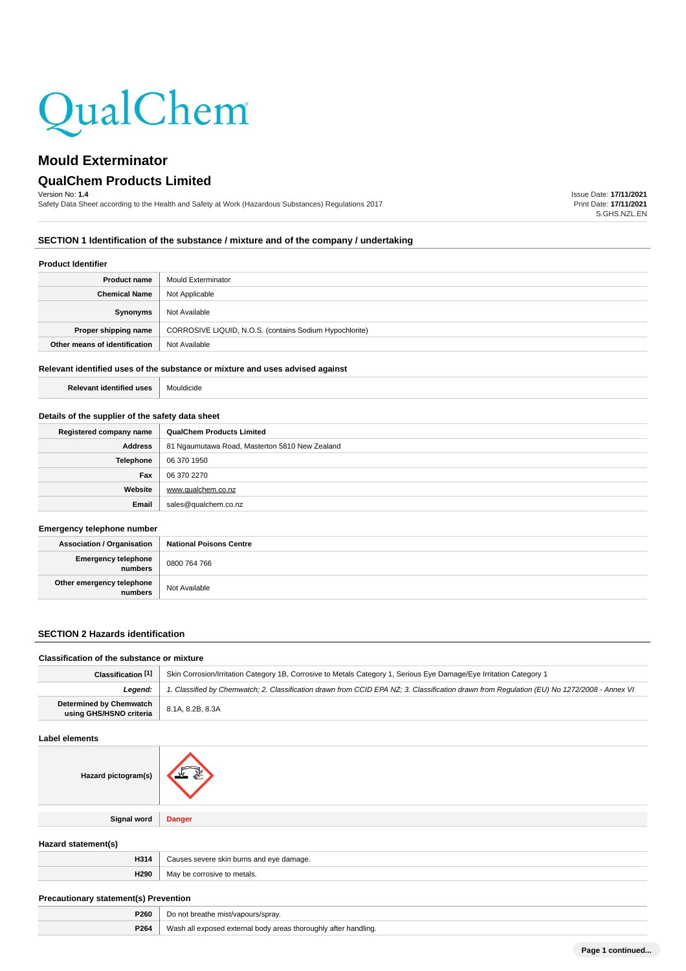

# **QualChem Products Limited**

Version No: **1.4**

Safety Data Sheet according to the Health and Safety at Work (Hazardous Substances) Regulations 2017

Issue Date: **17/11/2021** Print Date: **17/11/2021** S.GHS.NZL.EN

# **SECTION 1 Identification of the substance / mixture and of the company / undertaking**

#### **Product Identifier**

| <b>Product name</b>           | Mould Exterminator                                      |
|-------------------------------|---------------------------------------------------------|
| <b>Chemical Name</b>          | Not Applicable                                          |
| Synonyms                      | Not Available                                           |
| Proper shipping name          | CORROSIVE LIQUID, N.O.S. (contains Sodium Hypochlorite) |
| Other means of identification | Not Available                                           |

#### **Relevant identified uses of the substance or mixture and uses advised against**

**Relevant identified uses** Mouldicide

## **Details of the supplier of the safety data sheet**

| Registered company name | <b>QualChem Products Limited</b>               |
|-------------------------|------------------------------------------------|
| Address                 | 81 Ngaumutawa Road, Masterton 5810 New Zealand |
| Telephone               | 06 370 1950                                    |
| Fax                     | 06 370 2270                                    |
| Website                 | www.qualchem.co.nz                             |
| Email                   | sales@qualchem.co.nz                           |

# **Emergency telephone number**

| <b>Association / Organisation</b>    | <b>National Poisons Centre</b> |
|--------------------------------------|--------------------------------|
| Emergency telephone<br>numbers       | 0800 764 766                   |
| Other emergency telephone<br>numbers | Not Available                  |

# **SECTION 2 Hazards identification**

# **Classification of the substance or mixture Classification [1]** Skin Corrosion/Irritation Category 1B, Corrosive to Metals Category 1, Serious Eye Damage/Eye Irritation Category 1

| Leaend:                                            | 1. Classified by Chemwatch; 2. Classification drawn from CCID EPA NZ; 3. Classification drawn from Requlation (EU) No 1272/2008 - Annex VI |  |
|----------------------------------------------------|--------------------------------------------------------------------------------------------------------------------------------------------|--|
| Determined by Chemwatch<br>using GHS/HSNO criteria | 8.1A, 8.2B, 8.3A                                                                                                                           |  |
| Label elements                                     |                                                                                                                                            |  |

| Hazard pictogram(s) |               |
|---------------------|---------------|
|                     |               |
| <b>Signal word</b>  | <b>Danger</b> |
|                     |               |

# **Hazard statement(s)**

| H314 | l eve damage.<br>ı burns |
|------|--------------------------|
| H290 | ۸ ۸ -<br>הו הלר          |
|      |                          |

## **Precautionary statement(s) Prevention**

| D260<br>$\cdot$ $\cdot$ $\cdot$ |                                                                    |
|---------------------------------|--------------------------------------------------------------------|
| P264                            | 'Wash<br>∴otte<br>* handling.<br>a external '<br>horouahlv<br>noav |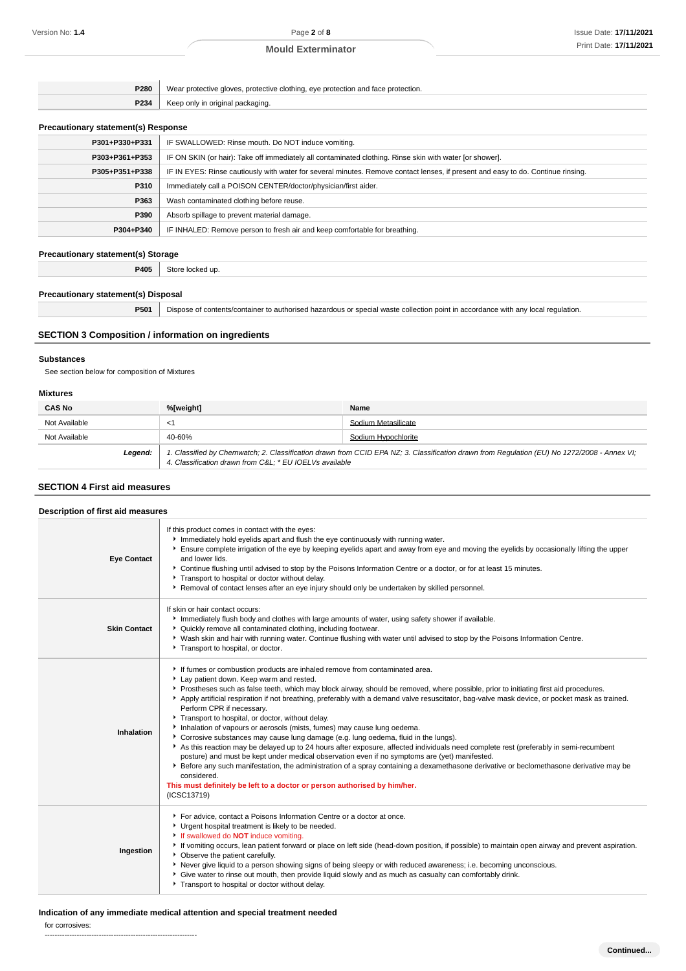| P280 | Wear protective gloves, protective clothing, eye protection and face protection. |
|------|----------------------------------------------------------------------------------|
| P234 | Keep only in original packaging.                                                 |

# **Precautionary statement(s) Response**

| The countries of the content of the copyright                                                                                    |  |
|----------------------------------------------------------------------------------------------------------------------------------|--|
| IF SWALLOWED: Rinse mouth. Do NOT induce vomiting.                                                                               |  |
| IF ON SKIN (or hair): Take off immediately all contaminated clothing. Rinse skin with water [or shower].                         |  |
| IF IN EYES: Rinse cautiously with water for several minutes. Remove contact lenses, if present and easy to do. Continue rinsing. |  |
| Immediately call a POISON CENTER/doctor/physician/first aider.                                                                   |  |
| Wash contaminated clothing before reuse.                                                                                         |  |
| Absorb spillage to prevent material damage.                                                                                      |  |
| IF INHALED: Remove person to fresh air and keep comfortable for breathing.                                                       |  |
|                                                                                                                                  |  |

# **Precautionary statement(s) Storage**

**P405** Store locked up.

# **Precautionary statement(s) Disposal**

# **P501** Dispose of contents/container to authorised hazardous or special waste collection point in accordance with any local regulation.

# **SECTION 3 Composition / information on ingredients**

# **Substances**

See section below for composition of Mixtures

#### **Mixtures**

| <b>CAS No</b> | %[weight]                                                                                                                                                                                             | Name                |
|---------------|-------------------------------------------------------------------------------------------------------------------------------------------------------------------------------------------------------|---------------------|
| Not Available | <1                                                                                                                                                                                                    | Sodium Metasilicate |
| Not Available | 40-60%                                                                                                                                                                                                | Sodium Hypochlorite |
| Legend:       | 1. Classified by Chemwatch; 2. Classification drawn from CCID EPA NZ; 3. Classification drawn from Regulation (EU) No 1272/2008 - Annex VI;<br>4. Classification drawn from C&L * EU IOELVs available |                     |

# **SECTION 4 First aid measures**

| Description of first aid measures |                                                                                                                                                                                                                                                                                                                                                                                                                                                                                                                                                                                                                                                                                                                                                                                                                                                                                                                                                                                                                                                                                                                                                                  |  |
|-----------------------------------|------------------------------------------------------------------------------------------------------------------------------------------------------------------------------------------------------------------------------------------------------------------------------------------------------------------------------------------------------------------------------------------------------------------------------------------------------------------------------------------------------------------------------------------------------------------------------------------------------------------------------------------------------------------------------------------------------------------------------------------------------------------------------------------------------------------------------------------------------------------------------------------------------------------------------------------------------------------------------------------------------------------------------------------------------------------------------------------------------------------------------------------------------------------|--|
| <b>Eye Contact</b>                | If this product comes in contact with the eyes:<br>Inmediately hold eyelids apart and flush the eye continuously with running water.<br>Ensure complete irrigation of the eye by keeping eyelids apart and away from eye and moving the eyelids by occasionally lifting the upper<br>and lower lids.<br>▶ Continue flushing until advised to stop by the Poisons Information Centre or a doctor, or for at least 15 minutes.<br>Transport to hospital or doctor without delay.<br>▶ Removal of contact lenses after an eye injury should only be undertaken by skilled personnel.                                                                                                                                                                                                                                                                                                                                                                                                                                                                                                                                                                                |  |
| <b>Skin Contact</b>               | If skin or hair contact occurs:<br>Immediately flush body and clothes with large amounts of water, using safety shower if available.<br>• Quickly remove all contaminated clothing, including footwear.<br>▶ Wash skin and hair with running water. Continue flushing with water until advised to stop by the Poisons Information Centre.<br>Transport to hospital, or doctor.                                                                                                                                                                                                                                                                                                                                                                                                                                                                                                                                                                                                                                                                                                                                                                                   |  |
| Inhalation                        | If fumes or combustion products are inhaled remove from contaminated area.<br>Lay patient down. Keep warm and rested.<br>▶ Prostheses such as false teeth, which may block airway, should be removed, where possible, prior to initiating first aid procedures.<br>Apply artificial respiration if not breathing, preferably with a demand valve resuscitator, bag-valve mask device, or pocket mask as trained.<br>Perform CPR if necessary.<br>Transport to hospital, or doctor, without delay.<br>Inhalation of vapours or aerosols (mists, fumes) may cause lung oedema.<br>Corrosive substances may cause lung damage (e.g. lung oedema, fluid in the lungs).<br>As this reaction may be delayed up to 24 hours after exposure, affected individuals need complete rest (preferably in semi-recumbent<br>posture) and must be kept under medical observation even if no symptoms are (yet) manifested.<br>Effore any such manifestation, the administration of a spray containing a dexamethasone derivative or beclomethasone derivative may be<br>considered.<br>This must definitely be left to a doctor or person authorised by him/her.<br>(ICSC13719) |  |
| Ingestion                         | For advice, contact a Poisons Information Centre or a doctor at once.<br>Urgent hospital treatment is likely to be needed.<br>If swallowed do <b>NOT</b> induce vomiting.<br>If vomiting occurs, lean patient forward or place on left side (head-down position, if possible) to maintain open airway and prevent aspiration.<br>• Observe the patient carefully.<br>▶ Never give liquid to a person showing signs of being sleepy or with reduced awareness; i.e. becoming unconscious.<br>▶ Give water to rinse out mouth, then provide liquid slowly and as much as casualty can comfortably drink.<br>Transport to hospital or doctor without delay.                                                                                                                                                                                                                                                                                                                                                                                                                                                                                                         |  |

# **Indication of any immediate medical attention and special treatment needed**

for corrosives: --------------------------------------------------------------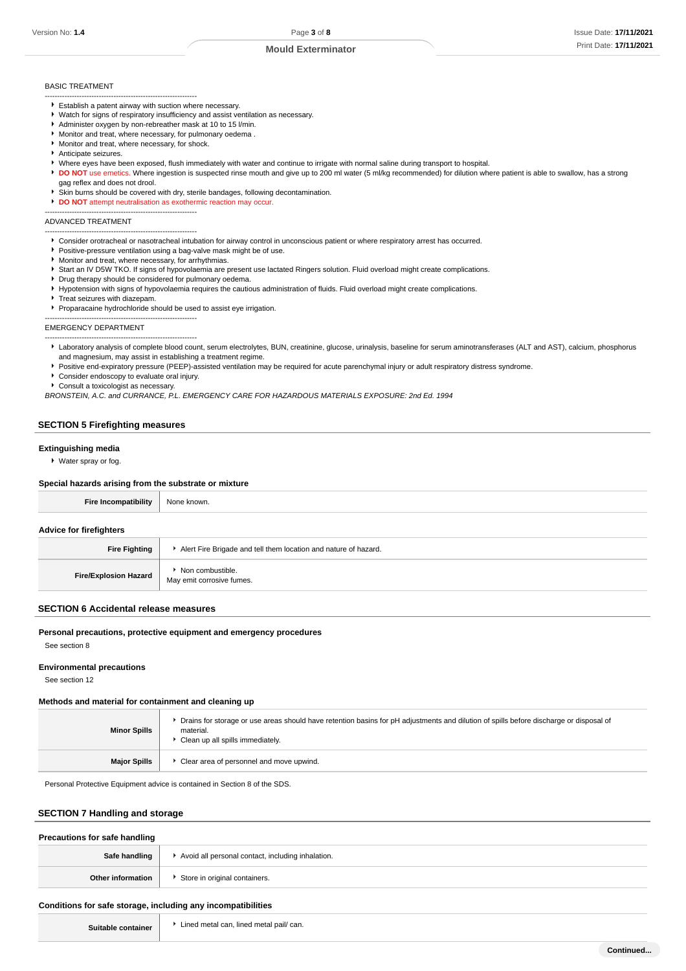#### BASIC TREATMENT

- -------------------------------------------------------------- Establish a patent airway with suction where necessary.
- Watch for signs of respiratory insufficiency and assist ventilation as necessary.
- Administer oxygen by non-rebreather mask at 10 to 15 l/min.
- Monitor and treat, where necessary, for pulmonary oedema .
- Monitor and treat, where necessary, for shock.
- Anticipate seizures.
- Where eyes have been exposed, flush immediately with water and continue to irrigate with normal saline during transport to hospital.
- **DO NOT** use emetics. Where ingestion is suspected rinse mouth and give up to 200 ml water (5 ml/kg recommended) for dilution where patient is able to swallow, has a strong
- gag reflex and does not drool.

--------------------------------------------------------------

- Skin burns should be covered with dry, sterile bandages, following decontamination.
- **DO NOT** attempt neutralisation as exothermic reaction may occur.

#### ADVANCED TREATMENT

- -------------------------------------------------------------- Consider orotracheal or nasotracheal intubation for airway control in unconscious patient or where respiratory arrest has occurred.
- **Positive-pressure ventilation using a bag-valve mask might be of use**.
- **Monitor and treat, where necessary, for arrhythmias.**
- ▶ Start an IV D5W TKO. If signs of hypovolaemia are present use lactated Ringers solution. Fluid overload might create complications.
- Drug therapy should be considered for pulmonary oedema. Hypotension with signs of hypovolaemia requires the cautious administration of fluids. Fluid overload might create complications.
- Treat seizures with diazepam.
- Proparacaine hydrochloride should be used to assist eye irrigation.
- --------------------------------------------------------------

# EMERGENCY DEPARTMENT

- Laboratory analysis of complete blood count, serum electrolytes, BUN, creatinine, glucose, urinalysis, baseline for serum aminotransferases (ALT and AST), calcium, phosphorus and magnesium, may assist in establishing a treatment regime.
- Positive end-expiratory pressure (PEEP)-assisted ventilation may be required for acute parenchymal injury or adult respiratory distress syndrome.
- Consider endoscopy to evaluate oral injury.

--------------------------------------------------------------

Consult a toxicologist as necessary.

BRONSTEIN, A.C. and CURRANCE, P.L. EMERGENCY CARE FOR HAZARDOUS MATERIALS EXPOSURE: 2nd Ed. 1994

## **SECTION 5 Firefighting measures**

#### **Extinguishing media**

Water spray or fog.

#### **Special hazards arising from the substrate or mixture**

| <b>Fire Incompatibility</b>    | None known.                                                     |  |
|--------------------------------|-----------------------------------------------------------------|--|
| <b>Advice for firefighters</b> |                                                                 |  |
| <b>Fire Fighting</b>           | Alert Fire Brigade and tell them location and nature of hazard. |  |
| <b>Fire/Explosion Hazard</b>   | Non combustible.<br>May emit corrosive fumes.                   |  |

#### **SECTION 6 Accidental release measures**

#### **Personal precautions, protective equipment and emergency procedures**

See section 8

#### **Environmental precautions**

See section 12

#### **Methods and material for containment and cleaning up**

| <b>Minor Spills</b> | Drains for storage or use areas should have retention basins for pH adjustments and dilution of spills before discharge or disposal of<br>material.<br>Clean up all spills immediately. |
|---------------------|-----------------------------------------------------------------------------------------------------------------------------------------------------------------------------------------|
| <b>Major Spills</b> | ▶ Clear area of personnel and move upwind.                                                                                                                                              |

Personal Protective Equipment advice is contained in Section 8 of the SDS.

#### **SECTION 7 Handling and storage**

| Precautions for safe handling |                                                   |
|-------------------------------|---------------------------------------------------|
| Safe handling                 | Avoid all personal contact, including inhalation. |
| Other information             | Store in original containers.                     |
|                               |                                                   |

#### **Conditions for safe storage, including any incompatibilities**

| Suitable contain |  |
|------------------|--|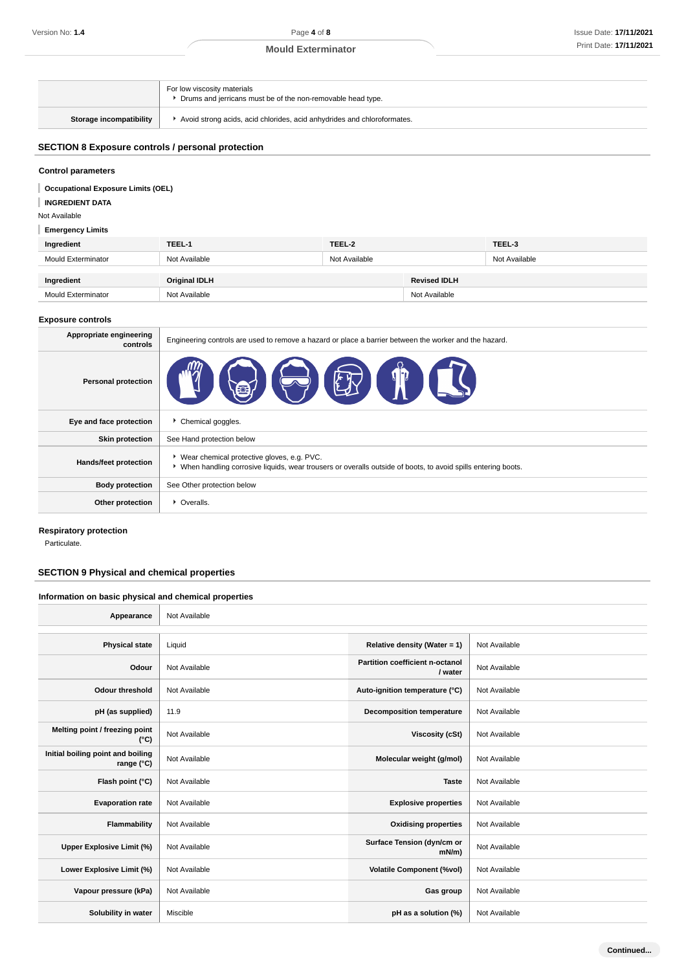|                                | For low viscosity materials<br>▶ Drums and jerricans must be of the non-removable head type. |
|--------------------------------|----------------------------------------------------------------------------------------------|
| <b>Storage incompatibility</b> | Avoid strong acids, acid chlorides, acid anhydrides and chloroformates.                      |

# **SECTION 8 Exposure controls / personal protection**

# **Control parameters**

| <b>Occupational Exposure Limits (OEL)</b><br><b>INGREDIENT DATA</b><br>Not Available |                      |               |                     |               |  |
|--------------------------------------------------------------------------------------|----------------------|---------------|---------------------|---------------|--|
| <b>Emergency Limits</b>                                                              |                      |               |                     |               |  |
| Ingredient                                                                           | TEEL-1               | TEEL-2        |                     | TEEL-3        |  |
| <b>Mould Exterminator</b>                                                            | Not Available        | Not Available |                     | Not Available |  |
| Ingredient                                                                           | <b>Original IDLH</b> |               | <b>Revised IDLH</b> |               |  |
| <b>Mould Exterminator</b>                                                            | Not Available        |               | Not Available       |               |  |
| <b>Exposure controls</b>                                                             |                      |               |                     |               |  |

# **Appropriate engineering controls** Engineering controls are used to remove a hazard or place a barrier between the worker and the hazard. **Personal protection Eye and face protection F** Chemical goggles. **Skin protection** | See Hand protection below Hands/feet protection **Wear chemical protective gloves, e.g. PVC.** When handling corrosive liquids, wear trousers or overalls outside of boots, to avoid spills entering boots. **Body protection** See Other protection below **Other protection COVER P** Overalls.

#### **Respiratory protection**

Particulate.

# **SECTION 9 Physical and chemical properties**

# **Information on basic physical and chemical properties**

| Appearance                                      | Not Available |                                            |               |
|-------------------------------------------------|---------------|--------------------------------------------|---------------|
|                                                 |               |                                            |               |
| <b>Physical state</b>                           | Liquid        | Relative density (Water = 1)               | Not Available |
| Odour                                           | Not Available | Partition coefficient n-octanol<br>/ water | Not Available |
| <b>Odour threshold</b>                          | Not Available | Auto-ignition temperature (°C)             | Not Available |
| pH (as supplied)                                | 11.9          | <b>Decomposition temperature</b>           | Not Available |
| Melting point / freezing point<br>$(^{\circ}C)$ | Not Available | Viscosity (cSt)                            | Not Available |
| Initial boiling point and boiling<br>range (°C) | Not Available | Molecular weight (g/mol)                   | Not Available |
| Flash point (°C)                                | Not Available | <b>Taste</b>                               | Not Available |
| <b>Evaporation rate</b>                         | Not Available | <b>Explosive properties</b>                | Not Available |
| Flammability                                    | Not Available | <b>Oxidising properties</b>                | Not Available |
| Upper Explosive Limit (%)                       | Not Available | Surface Tension (dyn/cm or<br>$mN/m$ )     | Not Available |
| Lower Explosive Limit (%)                       | Not Available | <b>Volatile Component (%vol)</b>           | Not Available |
| Vapour pressure (kPa)                           | Not Available | Gas group                                  | Not Available |
| Solubility in water                             | Miscible      | pH as a solution (%)                       | Not Available |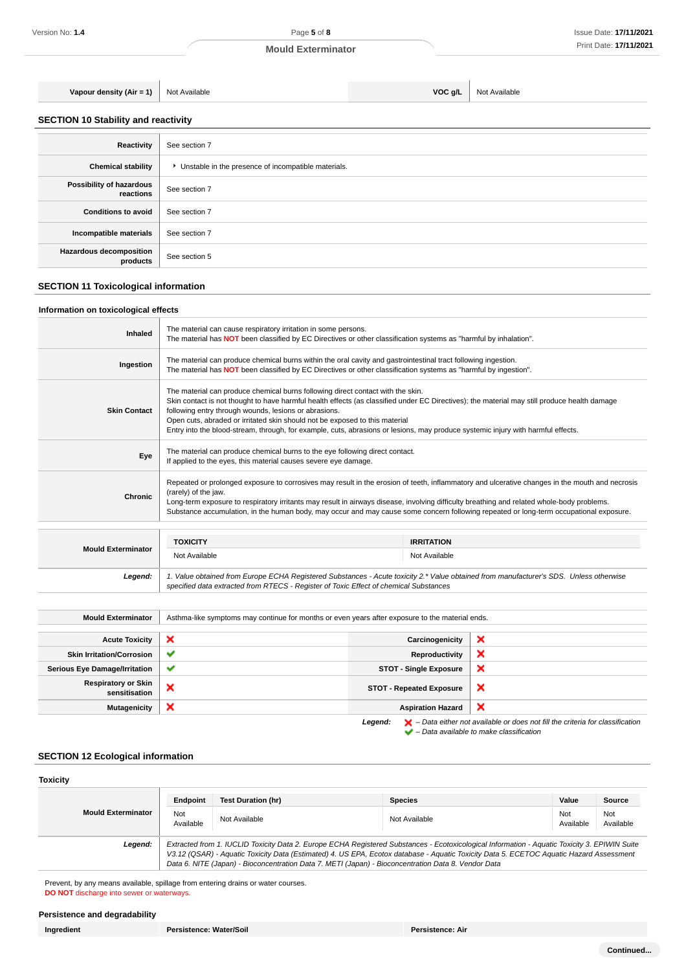**Vapour density (Air = 1)** Not Available **VOC g/L** Not Available

**SECTION 10 Stability and reactivity**

| Reactivity                                 | See section 7                                       |
|--------------------------------------------|-----------------------------------------------------|
| <b>Chemical stability</b>                  | Unstable in the presence of incompatible materials. |
| Possibility of hazardous<br>reactions      | See section 7                                       |
| <b>Conditions to avoid</b>                 | See section 7                                       |
| Incompatible materials                     | See section 7                                       |
| <b>Hazardous decomposition</b><br>products | See section 5                                       |

# **SECTION 11 Toxicological information**

# **Information on toxicological effects**

| Inhaled             | The material can cause respiratory irritation in some persons.<br>The material has <b>NOT</b> been classified by EC Directives or other classification systems as "harmful by inhalation".                                                                                                                                                                                                                                                                                                                  |                   |  |
|---------------------|-------------------------------------------------------------------------------------------------------------------------------------------------------------------------------------------------------------------------------------------------------------------------------------------------------------------------------------------------------------------------------------------------------------------------------------------------------------------------------------------------------------|-------------------|--|
| Ingestion           | The material can produce chemical burns within the oral cavity and gastrointestinal tract following ingestion.<br>The material has <b>NOT</b> been classified by EC Directives or other classification systems as "harmful by ingestion".                                                                                                                                                                                                                                                                   |                   |  |
| <b>Skin Contact</b> | The material can produce chemical burns following direct contact with the skin.<br>Skin contact is not thought to have harmful health effects (as classified under EC Directives); the material may still produce health damage<br>following entry through wounds, lesions or abrasions.<br>Open cuts, abraded or irritated skin should not be exposed to this material<br>Entry into the blood-stream, through, for example, cuts, abrasions or lesions, may produce systemic injury with harmful effects. |                   |  |
| Eye                 | The material can produce chemical burns to the eye following direct contact.<br>If applied to the eyes, this material causes severe eye damage.                                                                                                                                                                                                                                                                                                                                                             |                   |  |
| <b>Chronic</b>      | Repeated or prolonged exposure to corrosives may result in the erosion of teeth, inflammatory and ulcerative changes in the mouth and necrosis<br>(rarely) of the jaw.<br>Long-term exposure to respiratory irritants may result in airways disease, involving difficulty breathing and related whole-body problems.<br>Substance accumulation, in the human body, may occur and may cause some concern following repeated or long-term occupational exposure.                                              |                   |  |
|                     | <b>TOXICITY</b>                                                                                                                                                                                                                                                                                                                                                                                                                                                                                             | <b>IRRITATION</b> |  |

|                           | 1 UAN 11                                                                                                                                                                                                                        | $\mathbf{1}$  |  |
|---------------------------|---------------------------------------------------------------------------------------------------------------------------------------------------------------------------------------------------------------------------------|---------------|--|
| <b>Mould Exterminator</b> | Not Available                                                                                                                                                                                                                   | Not Available |  |
| Leaend:                   | 1. Value obtained from Europe ECHA Registered Substances - Acute toxicity 2.* Value obtained from manufacturer's SDS. Unless otherwise<br>specified data extracted from RTECS - Register of Toxic Effect of chemical Substances |               |  |

| <b>Mould Exterminator</b>                   | Asthma-like symptoms may continue for months or even years after exposure to the material ends. |                                 |                                                                                                    |
|---------------------------------------------|-------------------------------------------------------------------------------------------------|---------------------------------|----------------------------------------------------------------------------------------------------|
|                                             |                                                                                                 |                                 |                                                                                                    |
| <b>Acute Toxicity</b>                       | ×                                                                                               | Carcinogenicity                 | ×                                                                                                  |
| <b>Skin Irritation/Corrosion</b>            | $\checkmark$                                                                                    | Reproductivity                  | ×                                                                                                  |
| <b>Serious Eye Damage/Irritation</b>        | $\checkmark$                                                                                    | <b>STOT - Single Exposure</b>   | ×                                                                                                  |
| <b>Respiratory or Skin</b><br>sensitisation | ×                                                                                               | <b>STOT - Repeated Exposure</b> | ×                                                                                                  |
| <b>Mutagenicity</b>                         | ×                                                                                               | <b>Aspiration Hazard</b>        | ×                                                                                                  |
|                                             |                                                                                                 | Legend:                         | $\blacktriangleright$ - Data either not available or does not fill the criteria for classification |

– Data available to make classification

# **SECTION 12 Ecological information**

| <b>Toxicity</b>           |                                                                                                                                                                                                                                                                                                                                                                                                 |                           |                |                  |                  |
|---------------------------|-------------------------------------------------------------------------------------------------------------------------------------------------------------------------------------------------------------------------------------------------------------------------------------------------------------------------------------------------------------------------------------------------|---------------------------|----------------|------------------|------------------|
|                           | Endpoint                                                                                                                                                                                                                                                                                                                                                                                        | <b>Test Duration (hr)</b> | <b>Species</b> | Value            | Source           |
| <b>Mould Exterminator</b> | Not<br>Available                                                                                                                                                                                                                                                                                                                                                                                | Not Available             | Not Available  | Not<br>Available | Not<br>Available |
| Legend:                   | Extracted from 1. IUCLID Toxicity Data 2. Europe ECHA Registered Substances - Ecotoxicological Information - Aquatic Toxicity 3. EPIWIN Suite<br>V3.12 (QSAR) - Aquatic Toxicity Data (Estimated) 4. US EPA, Ecotox database - Aquatic Toxicity Data 5. ECETOC Aquatic Hazard Assessment<br>Data 6. NITE (Japan) - Bioconcentration Data 7. METI (Japan) - Bioconcentration Data 8. Vendor Data |                           |                |                  |                  |

Prevent, by any means available, spillage from entering drains or water courses. **DO NOT** discharge into sewer or waterways.

# **Persistence and degradability**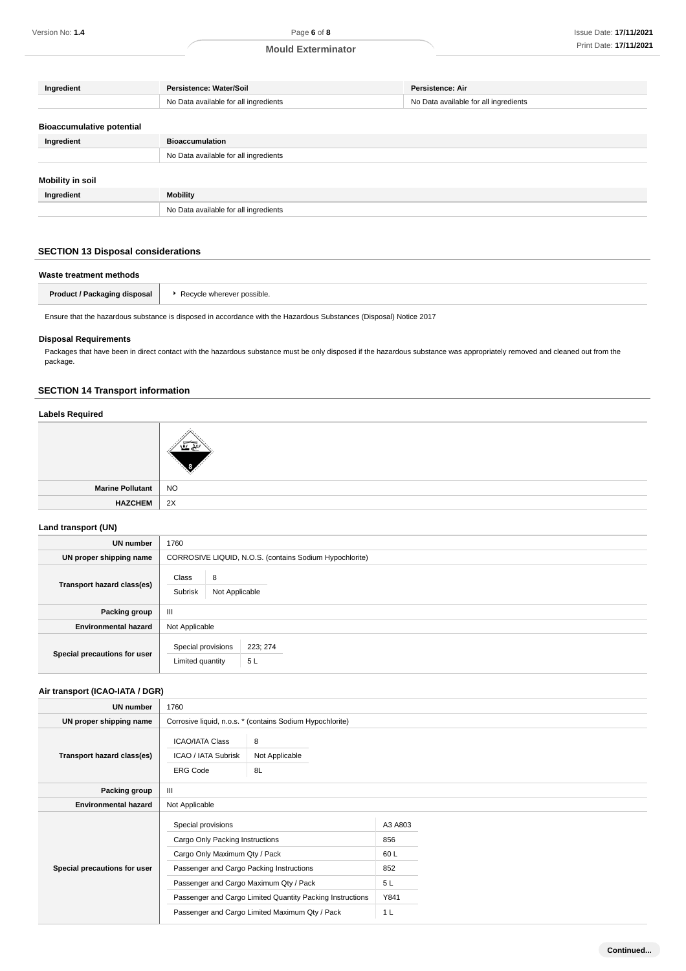| Persistence: Water/Soil               | <b>Persistence: Air</b>               |
|---------------------------------------|---------------------------------------|
| No Data available for all ingredients | No Data available for all ingredients |
|                                       |                                       |
|                                       |                                       |
| <b>Bioaccumulation</b>                |                                       |
| No Data available for all ingredients |                                       |
|                                       |                                       |
|                                       |                                       |
| <b>Mobility</b>                       |                                       |
| No Data available for all ingredients |                                       |
|                                       |                                       |

# **SECTION 13 Disposal considerations**

| Waste treatment methods      |                            |  |  |
|------------------------------|----------------------------|--|--|
| Product / Packaging disposal | Recycle wherever possible. |  |  |
|                              |                            |  |  |

Ensure that the hazardous substance is disposed in accordance with the Hazardous Substances (Disposal) Notice 2017

# **Disposal Requirements**

Packages that have been in direct contact with the hazardous substance must be only disposed if the hazardous substance was appropriately removed and cleaned out from the package.

# **SECTION 14 Transport information**

# **Labels Required**

| ╭ |
|---|

| <b>Marine Pollutant</b> | <b>NO</b> |
|-------------------------|-----------|
| <b>HAZCHEM</b>          | 2X        |

# **Land transport (UN)**

| <b>UN number</b>             | 1760                                                     |  |  |  |
|------------------------------|----------------------------------------------------------|--|--|--|
| UN proper shipping name      | CORROSIVE LIQUID, N.O.S. (contains Sodium Hypochlorite)  |  |  |  |
| Transport hazard class(es)   | Class<br>8<br>Subrisk<br>Not Applicable                  |  |  |  |
| Packing group                | Ш                                                        |  |  |  |
| <b>Environmental hazard</b>  | Not Applicable                                           |  |  |  |
| Special precautions for user | Special provisions<br>223; 274<br>Limited quantity<br>5L |  |  |  |

# **Air transport (ICAO-IATA / DGR)**

| UN number                    | 1760                                                             |                                                           |         |  |  |
|------------------------------|------------------------------------------------------------------|-----------------------------------------------------------|---------|--|--|
| UN proper shipping name      |                                                                  | Corrosive liquid, n.o.s. * (contains Sodium Hypochlorite) |         |  |  |
| Transport hazard class(es)   | <b>ICAO/IATA Class</b><br>ICAO / IATA Subrisk<br><b>ERG Code</b> | 8<br>Not Applicable<br>8L                                 |         |  |  |
| Packing group                | III                                                              |                                                           |         |  |  |
| <b>Environmental hazard</b>  | Not Applicable                                                   |                                                           |         |  |  |
|                              | Special provisions                                               |                                                           | A3 A803 |  |  |
|                              | Cargo Only Packing Instructions                                  |                                                           | 856     |  |  |
| Special precautions for user | Cargo Only Maximum Qty / Pack                                    |                                                           | 60L     |  |  |
|                              | Passenger and Cargo Packing Instructions                         |                                                           | 852     |  |  |
|                              | Passenger and Cargo Maximum Qty / Pack                           |                                                           | 5 L     |  |  |
|                              | Passenger and Cargo Limited Quantity Packing Instructions        |                                                           | Y841    |  |  |
|                              | Passenger and Cargo Limited Maximum Qty / Pack                   |                                                           | 1 L     |  |  |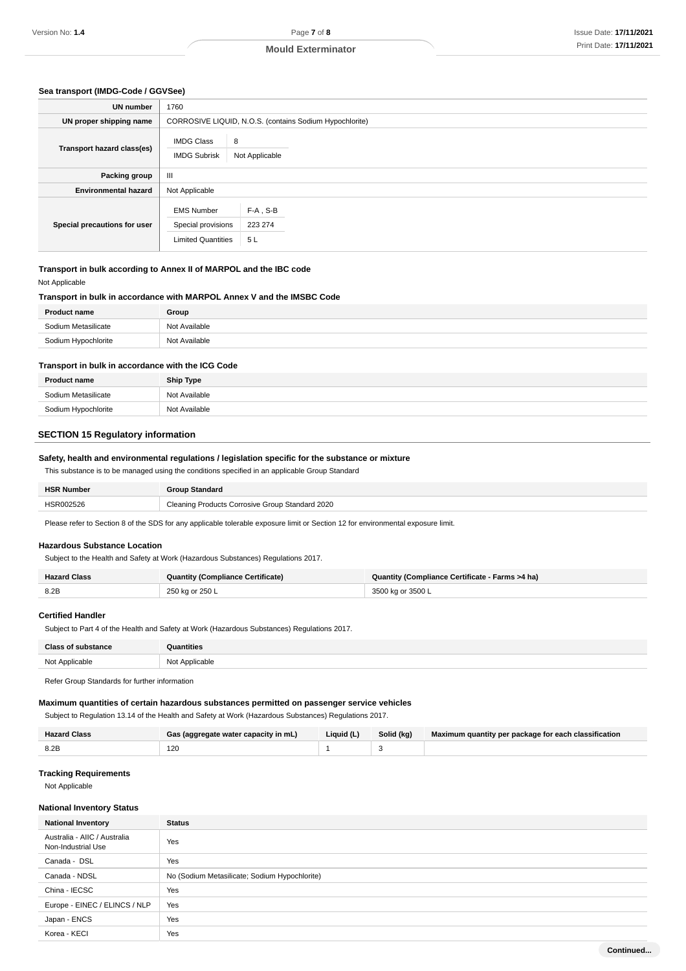**Continued...**

#### **Sea transport (IMDG-Code / GGVSee)**

| <b>UN</b> number             | 1760                                                                 |                                                         |
|------------------------------|----------------------------------------------------------------------|---------------------------------------------------------|
| UN proper shipping name      |                                                                      | CORROSIVE LIQUID, N.O.S. (contains Sodium Hypochlorite) |
| Transport hazard class(es)   | <b>IMDG Class</b><br><b>IMDG Subrisk</b>                             | 8<br>Not Applicable                                     |
| Packing group                | III                                                                  |                                                         |
| <b>Environmental hazard</b>  | Not Applicable                                                       |                                                         |
| Special precautions for user | <b>EMS Number</b><br>Special provisions<br><b>Limited Quantities</b> | $F-A$ , S-B<br>223 274<br>5L                            |

#### **Transport in bulk according to Annex II of MARPOL and the IBC code** Not Applicable

# **Transport in bulk in accordance with MARPOL Annex V and the IMSBC Code**

| <b>Product name</b> | Group         |
|---------------------|---------------|
| Sodium Metasilicate | Not Available |
| Sodium Hypochlorite | Not Available |

#### **Transport in bulk in accordance with the ICG Code**

| <b>Product name</b> | <b>Ship Type</b> |
|---------------------|------------------|
| Sodium Metasilicate | Not Available    |
| Sodium Hypochlorite | Not Available    |

# **SECTION 15 Regulatory information**

# **Safety, health and environmental regulations / legislation specific for the substance or mixture**

This substance is to be managed using the conditions specified in an applicable Group Standard

| <b>HSR Number</b> | <b>Broup Standard</b>                           |
|-------------------|-------------------------------------------------|
| HSR002526         | Cleaning Products Corrosive Group Standard 2020 |

Please refer to Section 8 of the SDS for any applicable tolerable exposure limit or Section 12 for environmental exposure limit.

#### **Hazardous Substance Location**

Subject to the Health and Safety at Work (Hazardous Substances) Regulations 2017.

| Hazard Class | <b>Quantity (Compliance Certificate)</b> | Quantity (Compliance Certificate - Farms >4 ha) |  |
|--------------|------------------------------------------|-------------------------------------------------|--|
| 8.2E         | 250 kg or 250 L                          | 3500 kg or 3500 L                               |  |

# **Certified Handler**

Subject to Part 4 of the Health and Safety at Work (Hazardous Substances) Regulations 2017.

| <b>Class of substance</b> | Quantities     |
|---------------------------|----------------|
| Not Applicable            | Not Applicable |

Refer Group Standards for further information

#### **Maximum quantities of certain hazardous substances permitted on passenger service vehicles**

Subject to Regulation 13.14 of the Health and Safety at Work (Hazardous Substances) Regulations 2017.

| <b>Hazard Class</b> | Gas (aggregate water capacity in mL) | Liquid (L) | Solid (kg) | Maximum quantity per package for each classification |
|---------------------|--------------------------------------|------------|------------|------------------------------------------------------|
| 8.2E                | 12 <sup>C</sup>                      |            |            |                                                      |

#### **Tracking Requirements**

Not Applicable

#### **National Inventory Status**

| <b>National Inventory</b>                          | <b>Status</b>                                 |
|----------------------------------------------------|-----------------------------------------------|
| Australia - AIIC / Australia<br>Non-Industrial Use | Yes                                           |
| Canada - DSL                                       | Yes                                           |
| Canada - NDSL                                      | No (Sodium Metasilicate; Sodium Hypochlorite) |
| China - IECSC                                      | Yes                                           |
| Europe - EINEC / ELINCS / NLP                      | Yes                                           |
| Japan - ENCS                                       | Yes                                           |
| Korea - KECI                                       | Yes                                           |